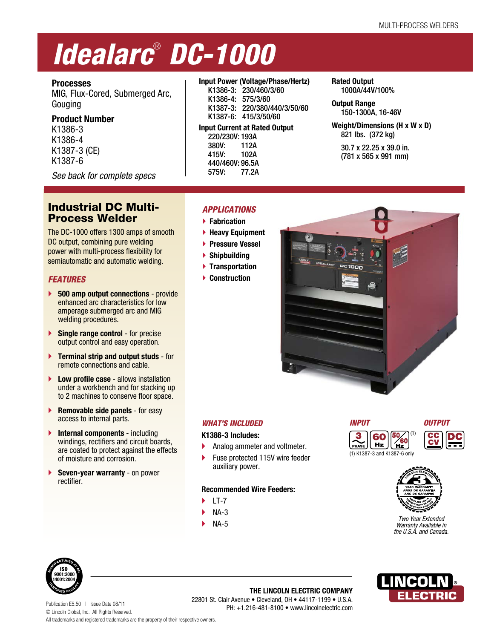# *Idealarc*®  *DC-1000*

# **Processes**

MIG, Flux-Cored, Submerged Arc, Gouging

## **Product Number**

K1386-3 K1386-4 K1387-3 (CE) K1387-6

*See back for complete specs*

# Industrial DC Multi-Process Welder

The DC-1000 offers 1300 amps of smooth DC output, combining pure welding power with multi-process flexibility for semiautomatic and automatic welding.

# *FEATURES*

- **500 amp output connections** provide enhanced arc characteristics for low amperage submerged arc and MIG welding procedures.
- **Single range control** for precise output control and easy operation.
- **Terminal strip and output studs** for remote connections and cable.
- **Low profile case** allows installation under a workbench and for stacking up to 2 machines to conserve floor space.
- **Removable side panels** for easy access to internal parts.
- **Internal components** including windings, rectifiers and circuit boards, are coated to protect against the effects of moisture and corrosion.
- **Seven-year warranty**  on power rectifier.

## **Input Power (Voltage/Phase/Hertz)**

 K1386-3: 230/460/3/60 K1386-4: 575/3/60 K1387-3: 220/380/440/3/50/60 K1387-6: 415/3/50/60 **Input Current at Rated Output**

 220/230V: 193A 380V: 112A 415V: 102A 440/460V: 96.5A 575V: 77.2A

### **Rated Output**  1000A/44V/100%

**Output Range**  150-1300A, 16-46V

**Weight/Dimensions (H x W x D)**  821 lbs. (372 kg)

 30.7 x 22.25 x 39.0 in. (781 x 565 x 991 mm)

# *APPLICATIONS*

 **Fabrication**

- **Heavy Equipment**
- **Pressure Vessel**
- **Shipbuilding**
- **Transportation**
- **Construction**



## *WHAT'S INCLUDED*

**K1386-3 Includes:**

- Analog ammeter and voltmeter.
- ▶ Fuse protected 115V wire feeder auxiliary power.

## **Recommended Wire Feeders:**

- LT-7
- NA-3
- NA-5





(1) K1387-3 and K1387-6 only



*Two Year Extended Warranty Available in the U.S.A. and Canada.*



Publication E5.50 | Issue Date 08/11 © Lincoln Global, Inc. All Rights Reserved. All trademarks and registered trademarks are the property of their respective owners. PH: +1.216-481-8100 • www.lincolnelectric.com

## **THE LINCOLN ELECTRIC COMPANY** 22801 St. Clair Avenue • Cleveland, OH • 44117-1199 • U.S.A.